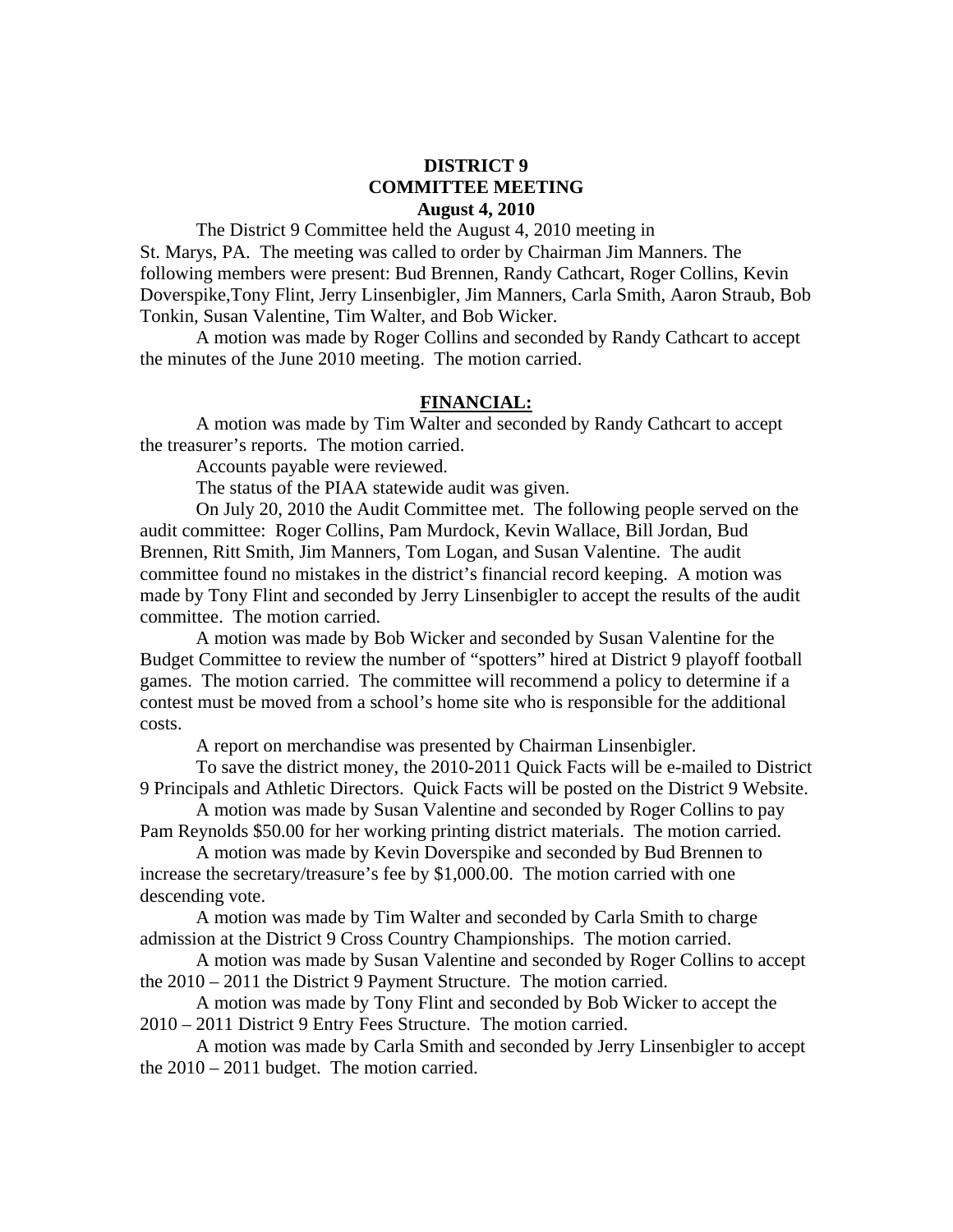# **DISTRICT 9 COMMITTEE MEETING August 4, 2010**

 The District 9 Committee held the August 4, 2010 meeting in St. Marys, PA. The meeting was called to order by Chairman Jim Manners. The following members were present: Bud Brennen, Randy Cathcart, Roger Collins, Kevin Doverspike,Tony Flint, Jerry Linsenbigler, Jim Manners, Carla Smith, Aaron Straub, Bob Tonkin, Susan Valentine, Tim Walter, and Bob Wicker.

 A motion was made by Roger Collins and seconded by Randy Cathcart to accept the minutes of the June 2010 meeting. The motion carried.

#### **FINANCIAL:**

A motion was made by Tim Walter and seconded by Randy Cathcart to accept the treasurer's reports. The motion carried.

Accounts payable were reviewed.

The status of the PIAA statewide audit was given.

 On July 20, 2010 the Audit Committee met. The following people served on the audit committee: Roger Collins, Pam Murdock, Kevin Wallace, Bill Jordan, Bud Brennen, Ritt Smith, Jim Manners, Tom Logan, and Susan Valentine. The audit committee found no mistakes in the district's financial record keeping. A motion was made by Tony Flint and seconded by Jerry Linsenbigler to accept the results of the audit committee. The motion carried.

 A motion was made by Bob Wicker and seconded by Susan Valentine for the Budget Committee to review the number of "spotters" hired at District 9 playoff football games. The motion carried. The committee will recommend a policy to determine if a contest must be moved from a school's home site who is responsible for the additional costs.

A report on merchandise was presented by Chairman Linsenbigler.

 To save the district money, the 2010-2011 Quick Facts will be e-mailed to District 9 Principals and Athletic Directors. Quick Facts will be posted on the District 9 Website.

 A motion was made by Susan Valentine and seconded by Roger Collins to pay Pam Reynolds \$50.00 for her working printing district materials. The motion carried.

 A motion was made by Kevin Doverspike and seconded by Bud Brennen to increase the secretary/treasure's fee by \$1,000.00. The motion carried with one descending vote.

 A motion was made by Tim Walter and seconded by Carla Smith to charge admission at the District 9 Cross Country Championships. The motion carried.

 A motion was made by Susan Valentine and seconded by Roger Collins to accept the 2010 – 2011 the District 9 Payment Structure. The motion carried.

 A motion was made by Tony Flint and seconded by Bob Wicker to accept the 2010 – 2011 District 9 Entry Fees Structure. The motion carried.

 A motion was made by Carla Smith and seconded by Jerry Linsenbigler to accept the 2010 – 2011 budget. The motion carried.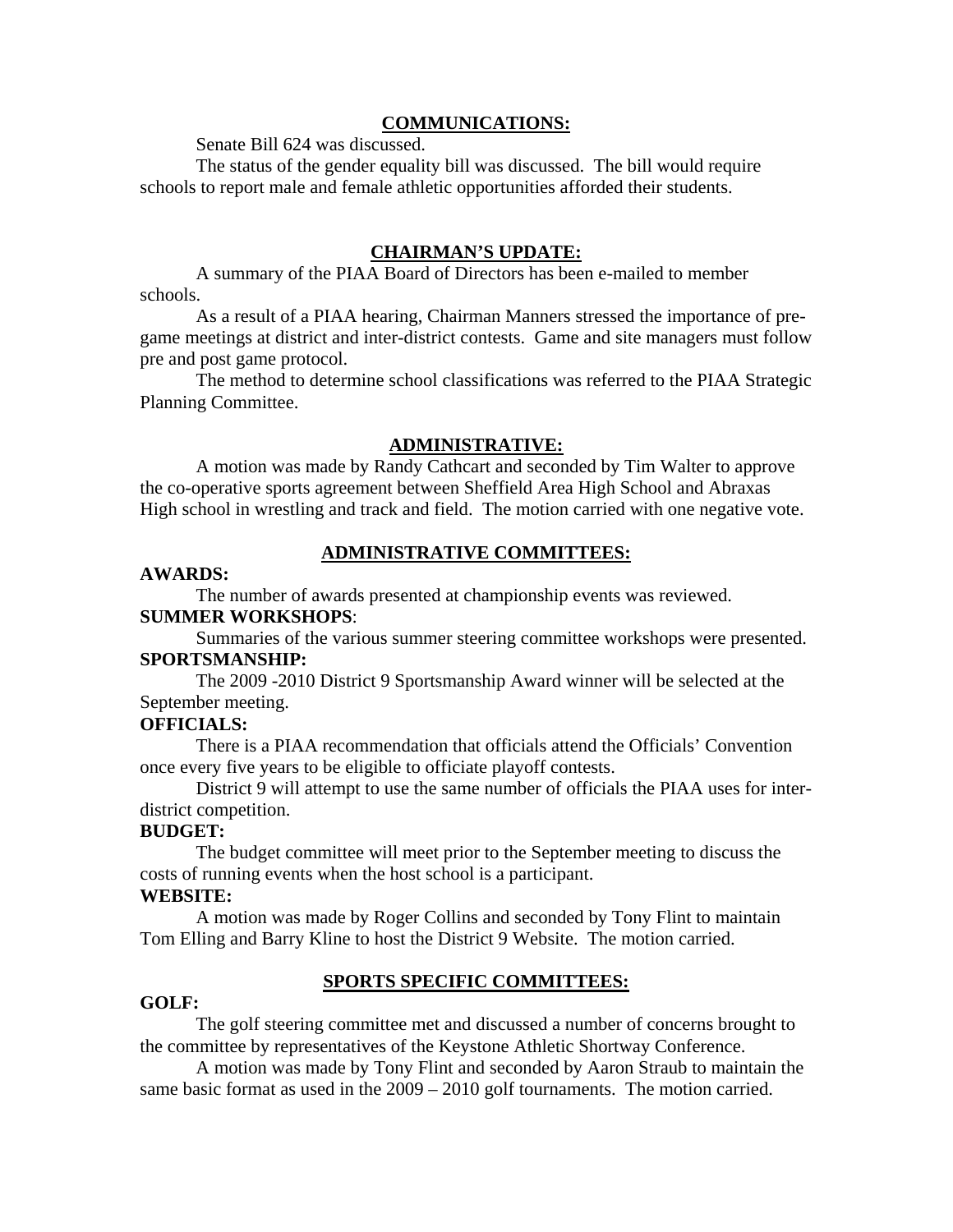# **COMMUNICATIONS:**

Senate Bill 624 was discussed.

 The status of the gender equality bill was discussed. The bill would require schools to report male and female athletic opportunities afforded their students.

# **CHAIRMAN'S UPDATE:**

 A summary of the PIAA Board of Directors has been e-mailed to member schools.

 As a result of a PIAA hearing, Chairman Manners stressed the importance of pregame meetings at district and inter-district contests. Game and site managers must follow pre and post game protocol.

 The method to determine school classifications was referred to the PIAA Strategic Planning Committee.

## **ADMINISTRATIVE:**

 A motion was made by Randy Cathcart and seconded by Tim Walter to approve the co-operative sports agreement between Sheffield Area High School and Abraxas High school in wrestling and track and field. The motion carried with one negative vote.

# **ADMINISTRATIVE COMMITTEES:**

### **AWARDS:**

 The number of awards presented at championship events was reviewed. **SUMMER WORKSHOPS**:

 Summaries of the various summer steering committee workshops were presented. **SPORTSMANSHIP:** 

 The 2009 -2010 District 9 Sportsmanship Award winner will be selected at the September meeting.

## **OFFICIALS:**

There is a PIAA recommendation that officials attend the Officials' Convention once every five years to be eligible to officiate playoff contests.

 District 9 will attempt to use the same number of officials the PIAA uses for interdistrict competition.

## **BUDGET:**

 The budget committee will meet prior to the September meeting to discuss the costs of running events when the host school is a participant.

## **WEBSITE:**

 A motion was made by Roger Collins and seconded by Tony Flint to maintain Tom Elling and Barry Kline to host the District 9 Website. The motion carried.

# **SPORTS SPECIFIC COMMITTEES:**

## **GOLF:**

The golf steering committee met and discussed a number of concerns brought to the committee by representatives of the Keystone Athletic Shortway Conference.

A motion was made by Tony Flint and seconded by Aaron Straub to maintain the same basic format as used in the 2009 – 2010 golf tournaments. The motion carried.